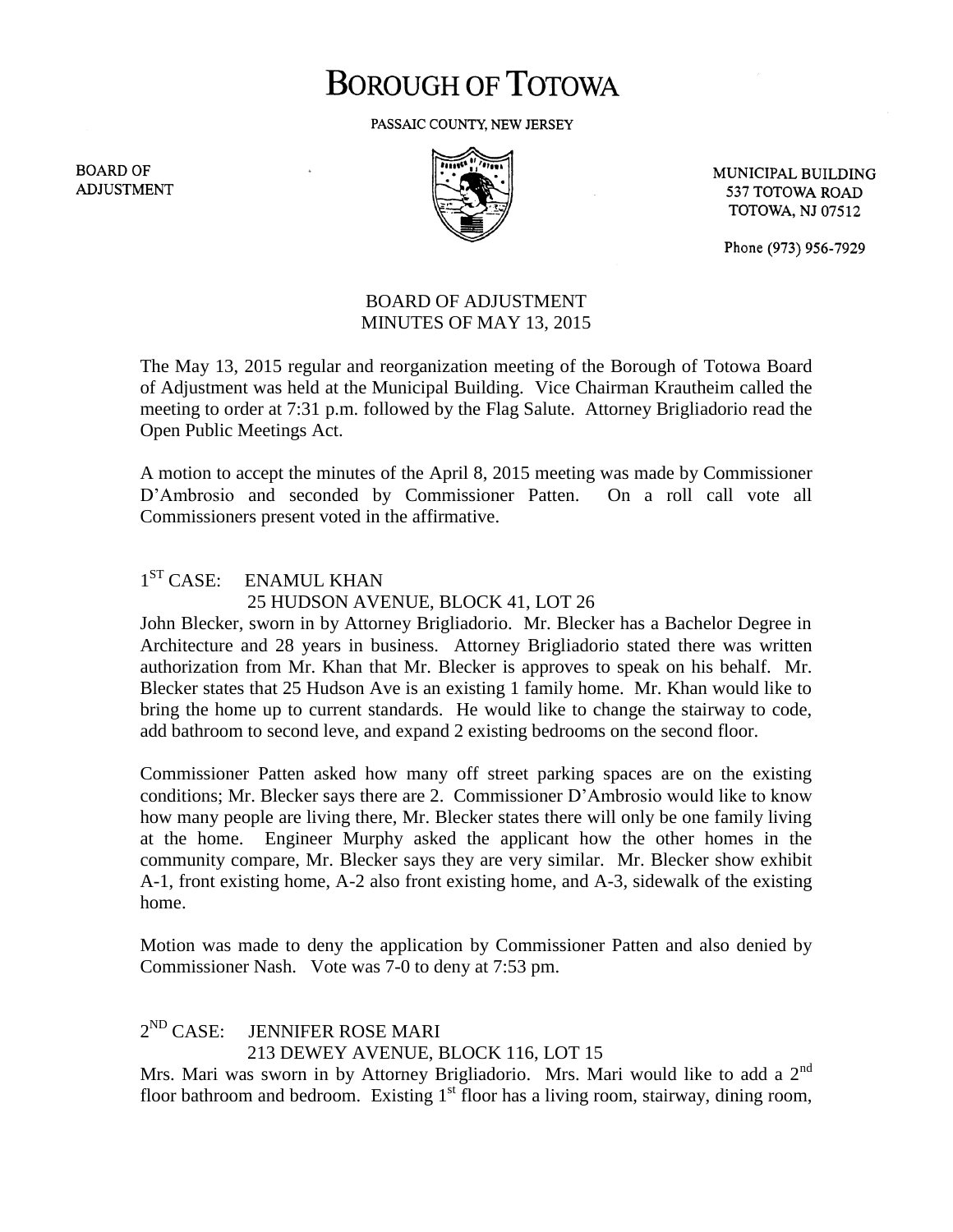# **BOROUGH OF TOTOWA**

PASSAIC COUNTY, NEW JERSEY

**BOARD OF ADJUSTMENT** 



MUNICIPAL BUILDING 537 TOTOWA ROAD **TOTOWA, NJ 07512** 

Phone (973) 956-7929

## BOARD OF ADJUSTMENT MINUTES OF MAY 13, 2015

The May 13, 2015 regular and reorganization meeting of the Borough of Totowa Board of Adjustment was held at the Municipal Building. Vice Chairman Krautheim called the meeting to order at 7:31 p.m. followed by the Flag Salute. Attorney Brigliadorio read the Open Public Meetings Act.

A motion to accept the minutes of the April 8, 2015 meeting was made by Commissioner D'Ambrosio and seconded by Commissioner Patten. On a roll call vote all Commissioners present voted in the affirmative.

#### $1^{ST}$  CASE: ENAMUL KHAN 25 HUDSON AVENUE, BLOCK 41, LOT 26

John Blecker, sworn in by Attorney Brigliadorio. Mr. Blecker has a Bachelor Degree in Architecture and 28 years in business. Attorney Brigliadorio stated there was written authorization from Mr. Khan that Mr. Blecker is approves to speak on his behalf. Mr. Blecker states that 25 Hudson Ave is an existing 1 family home. Mr. Khan would like to bring the home up to current standards. He would like to change the stairway to code, add bathroom to second leve, and expand 2 existing bedrooms on the second floor.

Commissioner Patten asked how many off street parking spaces are on the existing conditions; Mr. Blecker says there are 2. Commissioner D'Ambrosio would like to know how many people are living there, Mr. Blecker states there will only be one family living at the home. Engineer Murphy asked the applicant how the other homes in the community compare, Mr. Blecker says they are very similar. Mr. Blecker show exhibit A-1, front existing home, A-2 also front existing home, and A-3, sidewalk of the existing home.

Motion was made to deny the application by Commissioner Patten and also denied by Commissioner Nash. Vote was 7-0 to deny at 7:53 pm.

### $2^{ND}$  CASE: **JENNIFER ROSE MARI** 213 DEWEY AVENUE, BLOCK 116, LOT 15

Mrs. Mari was sworn in by Attorney Brigliadorio. Mrs. Mari would like to add a  $2<sup>nd</sup>$ floor bathroom and bedroom. Existing  $1<sup>st</sup>$  floor has a living room, stairway, dining room,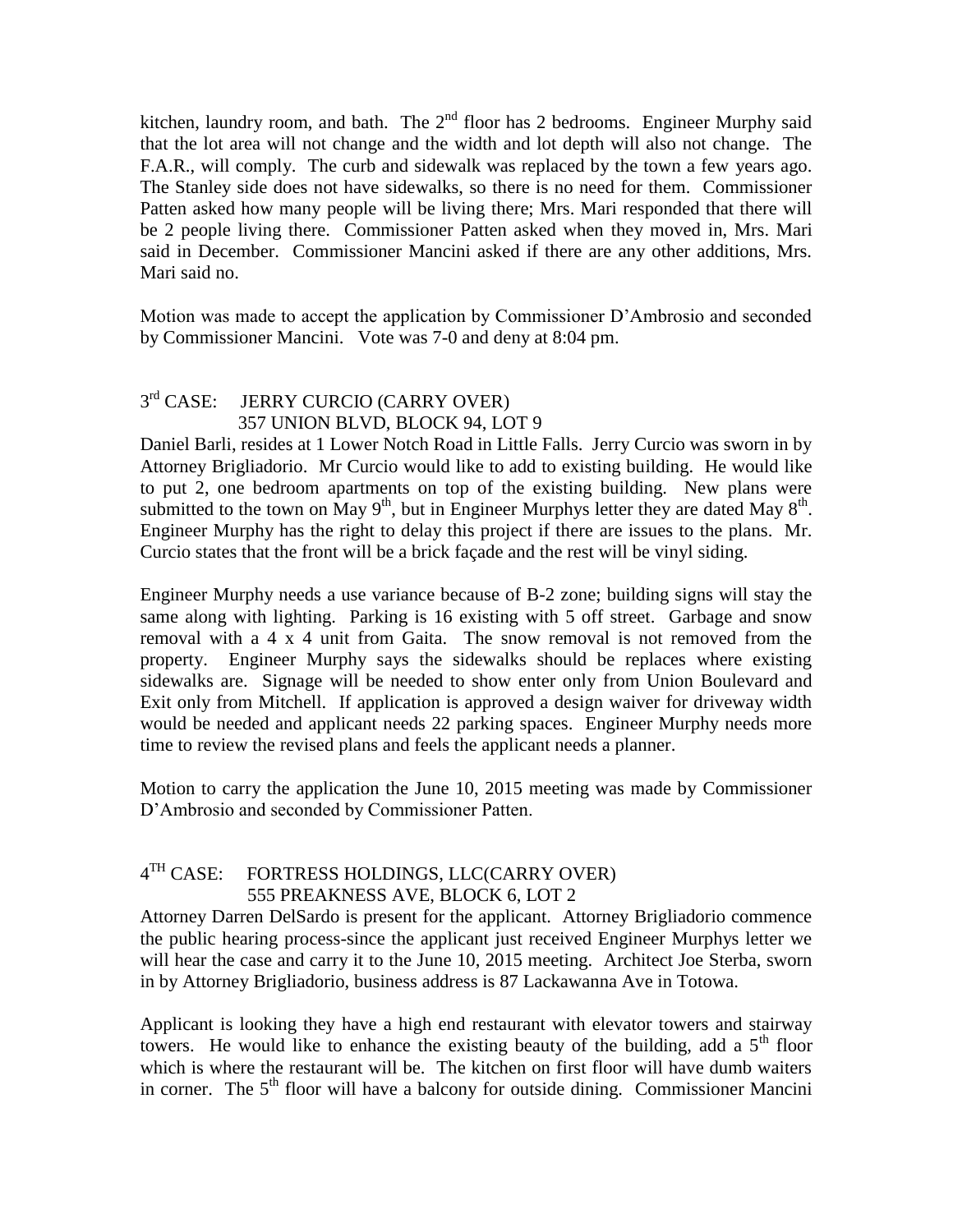kitchen, laundry room, and bath. The  $2<sup>nd</sup>$  floor has 2 bedrooms. Engineer Murphy said that the lot area will not change and the width and lot depth will also not change. The F.A.R., will comply. The curb and sidewalk was replaced by the town a few years ago. The Stanley side does not have sidewalks, so there is no need for them. Commissioner Patten asked how many people will be living there; Mrs. Mari responded that there will be 2 people living there. Commissioner Patten asked when they moved in, Mrs. Mari said in December. Commissioner Mancini asked if there are any other additions, Mrs. Mari said no.

Motion was made to accept the application by Commissioner D'Ambrosio and seconded by Commissioner Mancini. Vote was 7-0 and deny at 8:04 pm.

#### $3<sup>rd</sup> CASE:$ JERRY CURCIO (CARRY OVER) 357 UNION BLVD, BLOCK 94, LOT 9

Daniel Barli, resides at 1 Lower Notch Road in Little Falls. Jerry Curcio was sworn in by Attorney Brigliadorio. Mr Curcio would like to add to existing building. He would like to put 2, one bedroom apartments on top of the existing building. New plans were submitted to the town on May  $9<sup>th</sup>$ , but in Engineer Murphys letter they are dated May  $8<sup>th</sup>$ . Engineer Murphy has the right to delay this project if there are issues to the plans. Mr. Curcio states that the front will be a brick façade and the rest will be vinyl siding.

Engineer Murphy needs a use variance because of B-2 zone; building signs will stay the same along with lighting. Parking is 16 existing with 5 off street. Garbage and snow removal with a 4 x 4 unit from Gaita. The snow removal is not removed from the property. Engineer Murphy says the sidewalks should be replaces where existing sidewalks are. Signage will be needed to show enter only from Union Boulevard and Exit only from Mitchell. If application is approved a design waiver for driveway width would be needed and applicant needs 22 parking spaces. Engineer Murphy needs more time to review the revised plans and feels the applicant needs a planner.

Motion to carry the application the June 10, 2015 meeting was made by Commissioner D'Ambrosio and seconded by Commissioner Patten.

#### $4<sup>TH</sup>$  CASE: FORTRESS HOLDINGS, LLC(CARRY OVER) 555 PREAKNESS AVE, BLOCK 6, LOT 2

Attorney Darren DelSardo is present for the applicant. Attorney Brigliadorio commence the public hearing process-since the applicant just received Engineer Murphys letter we will hear the case and carry it to the June 10, 2015 meeting. Architect Joe Sterba, sworn in by Attorney Brigliadorio, business address is 87 Lackawanna Ave in Totowa.

Applicant is looking they have a high end restaurant with elevator towers and stairway towers. He would like to enhance the existing beauty of the building, add a  $5<sup>th</sup>$  floor which is where the restaurant will be. The kitchen on first floor will have dumb waiters in corner. The  $5<sup>th</sup>$  floor will have a balcony for outside dining. Commissioner Mancini